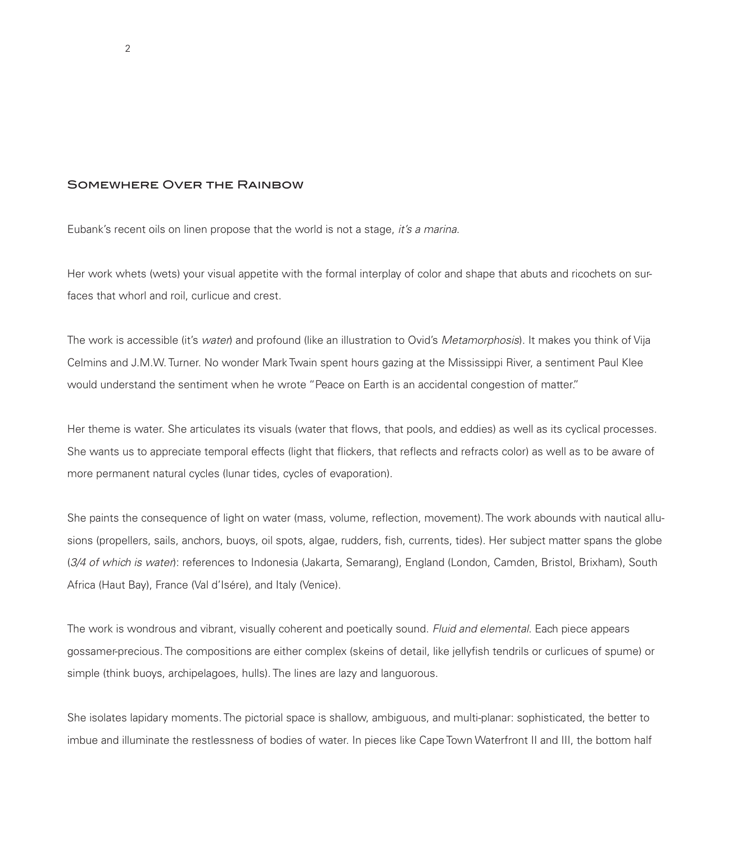## Somewhere Over the Rainbow

Eubank's recent oils on linen propose that the world is not a stage, *it's a marina*.

Her work whets (wets) your visual appetite with the formal interplay of color and shape that abuts and ricochets on surfaces that whorl and roil, curlicue and crest.

The work is accessible (it's *water*) and profound (like an illustration to Ovid's *Metamorphosis*). It makes you think of Vija Celmins and J.M.W. Turner. No wonder Mark Twain spent hours gazing at the Mississippi River, a sentiment Paul Klee would understand the sentiment when he wrote "Peace on Earth is an accidental congestion of matter."

Her theme is water. She articulates its visuals (water that flows, that pools, and eddies) as well as its cyclical processes. She wants us to appreciate temporal effects (light that flickers, that reflects and refracts color) as well as to be aware of more permanent natural cycles (lunar tides, cycles of evaporation).

She paints the consequence of light on water (mass, volume, reflection, movement). The work abounds with nautical allusions (propellers, sails, anchors, buoys, oil spots, algae, rudders, fish, currents, tides). Her subject matter spans the globe (*3/4 of which is water*): references to Indonesia (Jakarta, Semarang), England (London, Camden, Bristol, Brixham), South Africa (Haut Bay), France (Val d'Isére), and Italy (Venice).

The work is wondrous and vibrant, visually coherent and poetically sound. *Fluid and elemental*. Each piece appears gossamer-precious. The compositions are either complex (skeins of detail, like jellyfish tendrils or curlicues of spume) or simple (think buoys, archipelagoes, hulls). The lines are lazy and languorous.

She isolates lapidary moments. The pictorial space is shallow, ambiguous, and multi-planar: sophisticated, the better to imbue and illuminate the restlessness of bodies of water. In pieces like Cape Town Waterfront II and III, the bottom half